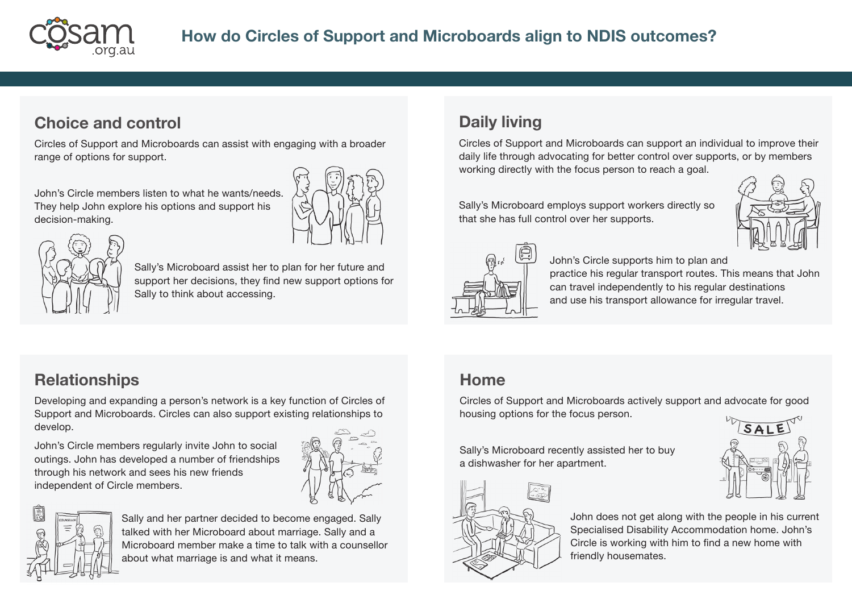

#### **Choice and control**

Circles of Support and Microboards can assist with engaging with a broader range of options for support.

John's Circle members listen to what he wants/needs. They help John explore his options and support his decision-making.





Sally's Microboard assist her to plan for her future and support her decisions, they find new support options for Sally to think about accessing.

# **Daily living**

Circles of Support and Microboards can support an individual to improve their daily life through advocating for better control over supports, or by members working directly with the focus person to reach a goal.

Sally's Microboard employs support workers directly so that she has full control over her supports.





John's Circle supports him to plan and

practice his regular transport routes. This means that John can travel independently to his regular destinations and use his transport allowance for irregular travel.

## **Relationships**

Developing and expanding a person's network is a key function of Circles of Support and Microboards. Circles can also support existing relationships to develop.

John's Circle members regularly invite John to social outings. John has developed a number of friendships through his network and sees his new friends independent of Circle members.





Sally and her partner decided to become engaged. Sally talked with her Microboard about marriage. Sally and a Microboard member make a time to talk with a counsellor about what marriage is and what it means.

#### **Home**

Circles of Support and Microboards actively support and advocate for good housing options for the focus person.

Sally's Microboard recently assisted her to buy a dishwasher for her apartment.



John does not get along with the people in his current Specialised Disability Accommodation home. John's Circle is working with him to find a new home with friendly housemates.